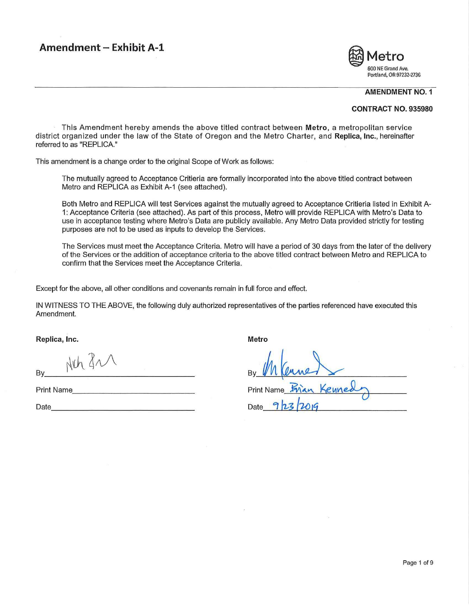# **Amendment - Exhibit A-1**



#### **AMENDMENT NO. 1**

#### **CONTRACT NO. 935980**

This Amendment hereby amends the above titled contract between **Metro,** a metropolitan service district organized under the law of the State of Oregon and the Metro Charter, and **Replica, Inc.,** hereinafter referred to as "REPLICA."

This amendment is a change order to the original Scope of Work as follows:

The mutually agreed to Acceptance Critieria are formally incorporated into the above titled contract between Metro and REPLICA as Exhibit A-1 (see attached).

Both Metro and REPLICA will test Services against the mutually agreed to Acceptance Critieria listed in Exhibit A-1: Acceptance Criteria (see attached). As part of this process, Metro will provide REPLICA with Metro's Data to use in acceptance testing where Metro's Data are publicly available. Any Metro Data provided strictly for testing purposes are not to be used as inputs to develop the Services.

The Services must meet the Acceptance Criteria. Metro will have a period of 30 days from the later of the delivery of the Services or the addition of acceptance criteria to the above titled contract between Metro and REPLICA to confirm that the Services meet the Acceptance Criteria.

Except for the above, all other conditions and covenants remain in full force and effect.

IN WITNESS TO THE ABOVE, the following duly authorized representatives of the parties referenced have executed this Amendment.

Replica, Inc. **Metro Replica, Inc. Metro** 

 $Bv$  Alch  $4\sqrt{ }$ 

Print Name

Date \_\_\_\_\_\_\_\_\_\_\_\_\_\_\_ \_

**Print Name** Date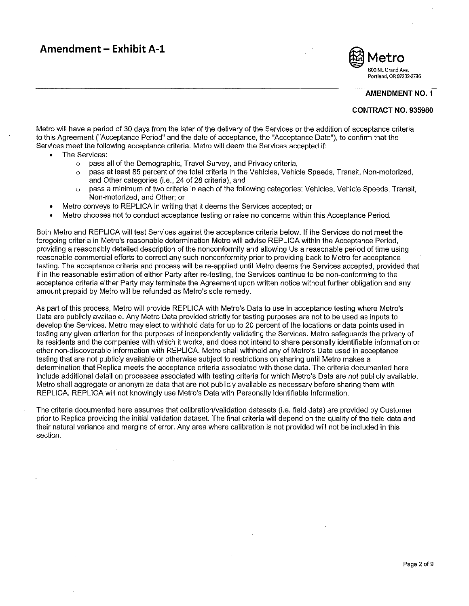# **Amendment - Exhibit A-1**



**AMENDMENT NO. 1** 

#### **CONTRACT NO. 935980**

Metro will have a period of 30 days from the later of the delivery of the Services or the addition of acceptance criteria to this Agreement ("Acceptance Period" and the date of acceptance, the "Acceptance Date"), to confirm that the Services meet the following acceptance criteria. Metro will deem the Services accepted if:

- The Services:
	- o pass all of the Demographic, Travel Survey, and Privacy criteria,
	- $\circ$  pass at least 85 percent of the total criteria in the Vehicles, Vehicle Speeds, Transit, Non-motorized, and Other categories (i.e., 24 of 28 criteria), and
	- o pass a minimum of two criteria in each of the following categories: Vehicles, Vehicle Speeds, Transit, Non-motorized, and Other; or
- Metro conveys to REPLICA in writing that it deems the Services accepted; or
- Metro chooses not to conduct acceptance testing or raise no concerns within this Acceptance Period.

Both Metro and REPLICA will test Services against the acceptance criteria below. If the Services do not meet the foregoing criteria in Metro's reasonable determination Metro will advise REPLICA within the Acceptance Period, providing a reasonably detailed description of the nonconformity and allowing Us a reasonable period of time using reasonable commercial efforts to correct any such nonconformity prior to providing back to Metro for acceptance testing. The acceptance criteria and process will be re-applied until Metro deems the Services accepted, provided that if in the reasonable estimation of either Party after re-testing, the Services continue to be non-conforming to the acceptance criteria either Party may terminate the Agreement upon written notice without further obligation and any amount prepaid by Metro will be refunded as Metro's sole remedy.

As part of this process, Metro will provide REPLICA with Metro's Data to use in acceptance testing where Metro's Data are publicly available. Any Metro Data provided strictly for testing purposes are not to be used as inputs to develop the Services. Metro may elect to withhold data for up to 20 percent of the locations or data points used in testing any given criterion for the purposes of independently validating the Services. Metro safeguards the privacy of its residents and the companies with which it works, and does not intend to share personally identifiable information or other non-discoverable information with REPLICA. Metro shall withhold any of Metro's Data used in acceptance testing that are not publicly available or otherwise subject to restrictions on sharing until Metro makes a determination that Replica meets the acceptance criteria associated with those data. The criteria documented here include additional detail on processes associated with testing criteria for which Metro's Data are not publicly available. Metro shall aggregate or anonymize data that are not publicly available as necessary before sharing them with REPLICA. REPLICA will not knowingly use Metro's Data with Personally Identifiable Information.

The criteria documented here assumes that calibration/validation datasets (i.e. field data) are provided by Customer prior to Replica providing the initial validation dataset. The final criteria will depend on the quality of the field data and their natural variance and margins of error. Any area where calibration is not provided will not be included in this **section.**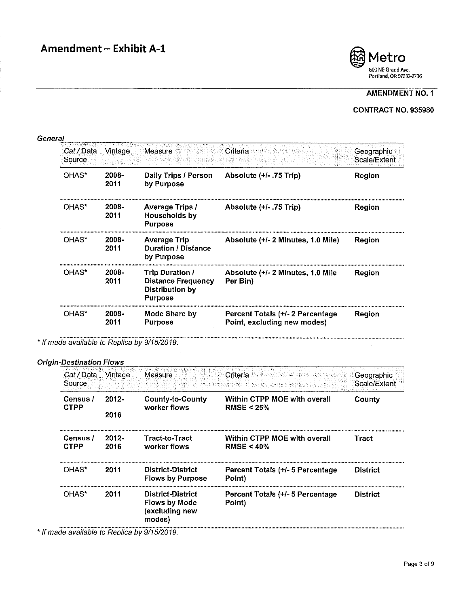

## CONTRACT NO. 935980

| Cat / Data Vintage<br>Source |               | Measure                                                                                  | Criteria                                                        | Geographic<br>Scale/Extent |
|------------------------------|---------------|------------------------------------------------------------------------------------------|-----------------------------------------------------------------|----------------------------|
| OHAS*                        | 2008-<br>2011 | <b>Daily Trips / Person</b><br>by Purpose                                                | Absolute $(+/- .75$ Trip)                                       | Region                     |
| OHAS*                        | 2008-<br>2011 | <b>Average Trips /</b><br>Households by<br><b>Purpose</b>                                | Absolute $(+/- .75$ Trip)                                       | Region                     |
| OHAS*                        | 2008-<br>2011 | <b>Average Trip</b><br><b>Duration / Distance</b><br>by Purpose                          | Absolute (+/- 2 Minutes, 1.0 Mile)                              | Region                     |
| OHAS*                        | 2008-<br>2011 | <b>Trip Duration /</b><br><b>Distance Frequency</b><br>Distribution by<br><b>Purpose</b> | Absolute (+/- 2 Minutes, 1.0 Mile<br>Per Bin)                   | Region                     |
| OHAS*                        | 2008-<br>2011 | Mode Share by<br><b>Purpose</b>                                                          | Percent Totals (+/- 2 Percentage<br>Point, excluding new modes) | Region                     |

\* If made available to Replica by 9/15/2019.

#### *Origin-Destination Flows*

| Cat / Data<br>Source    | Vintage          | Measure                                                               | Criteria                                      | Geographic<br>Scale/Extent |
|-------------------------|------------------|-----------------------------------------------------------------------|-----------------------------------------------|----------------------------|
| Census /<br><b>CTPP</b> | $2012 -$<br>2016 | <b>County-to-County</b><br>worker flows                               | Within CTPP MOE with overall<br>RMSE < $25%$  | County                     |
| Census /<br><b>CTPP</b> | $2012 -$<br>2016 | <b>Tract-to-Tract</b><br>worker flows                                 | Within CTPP MOE with overall<br>$RMSE < 40\%$ | Tract                      |
| OHAS*                   | 2011             | District-District<br><b>Flows by Purpose</b>                          | Percent Totals (+/- 5 Percentage<br>Point)    | <b>District</b>            |
| OHAS*                   | 2011             | District-District<br><b>Flows by Mode</b><br>(excluding new<br>modes) | Percent Totals (+/- 5 Percentage<br>Point)    | <b>District</b>            |

\* If made available to Replica by 9/15/2019.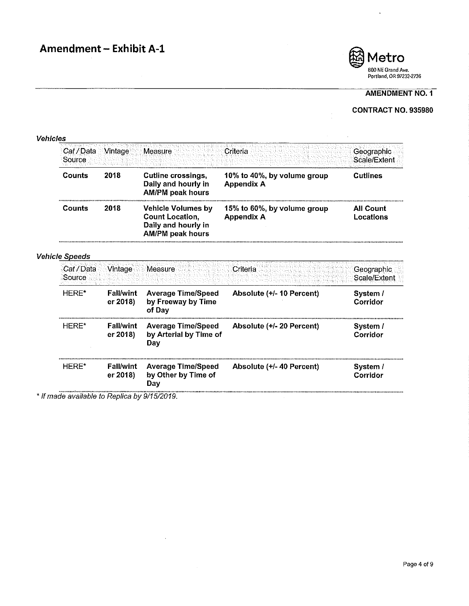

 $\mathcal{L}^{\mathcal{A}}$ 

 $\ddot{\phantom{1}}$ 

## AMENDMENT NO. 1

## CONTRACT NO. 935980

#### **Vehicles**

| Cat / Data Vintage<br>Source |                              | Measure                                                                                               | Criteria                                         | Geographic<br>Scale/Extent    |  |
|------------------------------|------------------------------|-------------------------------------------------------------------------------------------------------|--------------------------------------------------|-------------------------------|--|
| 2018<br>Counts               |                              | <b>Cutline crossings,</b><br>Daily and hourly in<br><b>AM/PM peak hours</b>                           | 10% to 40%, by volume group<br><b>Appendix A</b> | <b>Cutlines</b>               |  |
| Counts                       | 2018                         | <b>Vehicle Volumes by</b><br><b>Count Location,</b><br>Daily and hourly in<br><b>AM/PM peak hours</b> | 15% to 60%, by volume group<br><b>Appendix A</b> | <b>All Count</b><br>Locations |  |
| <b>Vehicle Speeds</b>        |                              |                                                                                                       |                                                  |                               |  |
| Cat / Data<br>Source         | :Vintage                     | Measure                                                                                               | Criteria                                         | Geographic<br>Scale/Extent    |  |
| HERE*                        | <b>Fall/wint</b><br>er 2018) | <b>Average Time/Speed</b><br>by Freeway by Time<br>of Dav                                             | Absolute (+/- 10 Percent)                        | System /<br>Corridor          |  |
| HERE*                        | <b>Fall/wint</b><br>er 2018  | <b>Average Time/Speed</b><br>by Arterial by Time of<br>Day                                            | Absolute (+/- 20 Percent)                        | System /<br>Corridor          |  |
| HERE*                        | <b>Fall/wint</b><br>er 2018) | <b>Average Time/Speed</b><br>by Other by Time of                                                      | Absolute (+/- 40 Percent)                        | System /<br>Corridor          |  |

\* If made available to Replica by 9/15/2019.

Day

 $\mathcal{L}$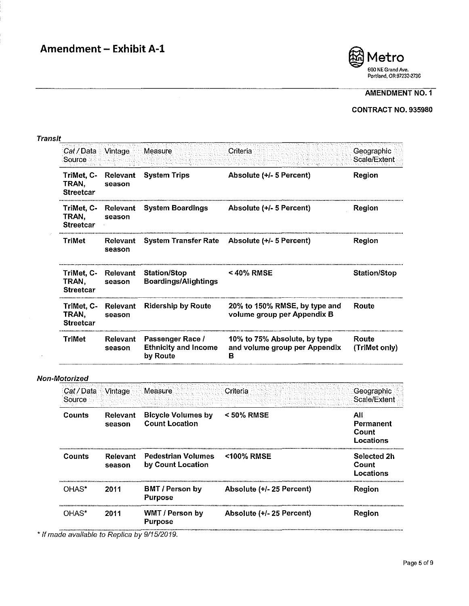

### CONTRACT NO. 935980

#### **Transit**

 $\hat{J}$ 

| Cat / Data Vintage<br>Source            |                           | Measure                                                     | :Criteria                                                          | Geographic<br>Scale/Extent |
|-----------------------------------------|---------------------------|-------------------------------------------------------------|--------------------------------------------------------------------|----------------------------|
| TriMet, C-<br>TRAN.<br><b>Streetcar</b> | <b>Relevant</b><br>season | <b>System Trips</b>                                         | Absolute (+/- 5 Percent)                                           | Region                     |
| TriMet, C-<br>TRAN,<br><b>Streetcar</b> | Relevant<br>season        | <b>System Boardings</b>                                     | Absolute (+/- 5 Percent)                                           | Region                     |
| TriMet                                  | Relevant<br>season        |                                                             | System Transfer Rate Absolute (+/- 5 Percent)                      | Region                     |
| TriMet, C-<br>TRAN.<br><b>Streetcar</b> | Relevant<br>season        | <b>Station/Stop</b><br><b>Boardings/Alightings</b>          | $<$ 40% RMSE                                                       | <b>Station/Stop</b>        |
| TriMet, C-<br>TRAN.<br><b>Streetcar</b> | Relevant<br>season        | <b>Ridership by Route</b>                                   | 20% to 150% RMSE, by type and<br>volume group per Appendix B       | Route                      |
| <b>TriMet</b>                           | <b>Relevant</b><br>season | Passenger Race /<br><b>Ethnicity and Income</b><br>by Route | 10% to 75% Absolute, by type<br>and volume group per Appendix<br>в | Route<br>(TriMet only)     |

#### Non-Motorized

| Cat / Data Mintage<br>Source |                           | Measure                                            | Criteria                  | Geographic<br>Scale/Extent             |
|------------------------------|---------------------------|----------------------------------------------------|---------------------------|----------------------------------------|
| Counts                       | Relevant<br>season        | <b>Bicycle Volumes by</b><br><b>Count Location</b> | $<$ 50% RMSE              | All<br>Permanent<br>Count<br>Locations |
| Counts                       | <b>Relevant</b><br>season | <b>Pedestrian Volumes</b><br>by Count Location     | <100% RMSE                | Selected 2h<br>Count<br>Locations      |
| OHAS*                        | 2011                      | <b>BMT / Person by</b><br><b>Purpose</b>           | Absolute (+/- 25 Percent) | Region                                 |
| OHAS*                        | 2011                      | WMT / Person by<br><b>Purpose</b>                  | Absolute (+/- 25 Percent) | Region                                 |

\* If made available to Replica by 9/15/2019.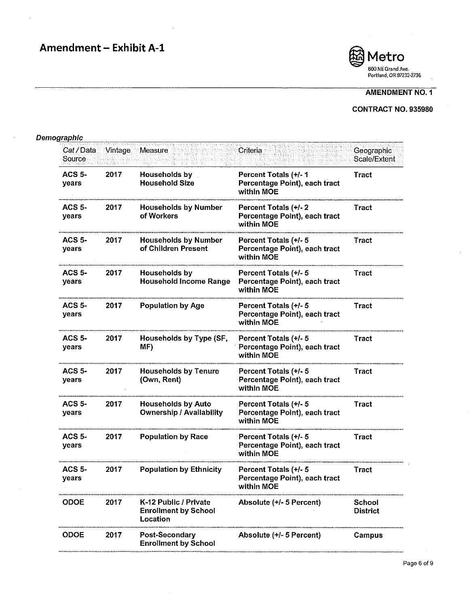

## CONTRACT NO. 935980

## Demographic

| Cat / Data<br>Source   | Vintage | Measure                                                          | Criteria                                                             | Geographic<br>Scale/Extent |
|------------------------|---------|------------------------------------------------------------------|----------------------------------------------------------------------|----------------------------|
| <b>ACS 5-</b><br>years | 2017    | Households by<br><b>Household Size</b>                           | Percent Totals (+/- 1<br>Percentage Point), each tract<br>within MOE | <b>Tract</b>               |
| <b>ACS 5-</b><br>years | 2017    | <b>Households by Number</b><br>of Workers                        | Percent Totals (+/-2<br>Percentage Point), each tract<br>within MOE  | Tract                      |
| ACS 5-<br>years        | 2017    | <b>Households by Number</b><br>of Children Present               | Percent Totals (+/- 5<br>Percentage Point), each tract<br>within MOE | Tract                      |
| <b>ACS 5-</b><br>years | 2017    | Households by<br><b>Household Income Range</b>                   | Percent Totals (+/- 5<br>Percentage Point), each tract<br>within MOE | Tract                      |
| <b>ACS 5-</b><br>years | 2017    | <b>Population by Age</b>                                         | Percent Totals (+/- 5<br>Percentage Point), each tract<br>within MOE | Tract                      |
| <b>ACS 5-</b><br>years | 2017    | Households by Type (SF,<br>MF)                                   | Percent Totals (+/- 5<br>Percentage Point), each tract<br>within MOE | Tract                      |
| <b>ACS 5-</b><br>years | 2017    | <b>Households by Tenure</b><br>(Own, Rent)                       | Percent Totals (+/- 5<br>Percentage Point), each tract<br>within MOE | <b>Tract</b>               |
| <b>ACS 5-</b><br>years | 2017    | <b>Households by Auto</b><br><b>Ownership / Availability</b>     | Percent Totals (+/- 5<br>Percentage Point), each tract<br>within MOE | Tract                      |
| <b>ACS 5-</b><br>years | 2017    | <b>Population by Race</b>                                        | Percent Totals (+/- 5<br>Percentage Point), each tract<br>within MOE | Tract                      |
| ACS $5-$<br>years      | 2017    | <b>Population by Ethnicity</b>                                   | Percent Totals (+/- 5<br>Percentage Point), each tract<br>within MOE | Tract                      |
| <b>ODOE</b>            | 2017    | K-12 Public / Private<br><b>Enrollment by School</b><br>Location | Absolute (+/- 5 Percent)                                             | School<br><b>District</b>  |
| <b>ODOE</b>            | 2017    | <b>Post-Secondary</b><br><b>Enrollment by School</b>             | Absolute (+/- 5 Percent)                                             | Campus                     |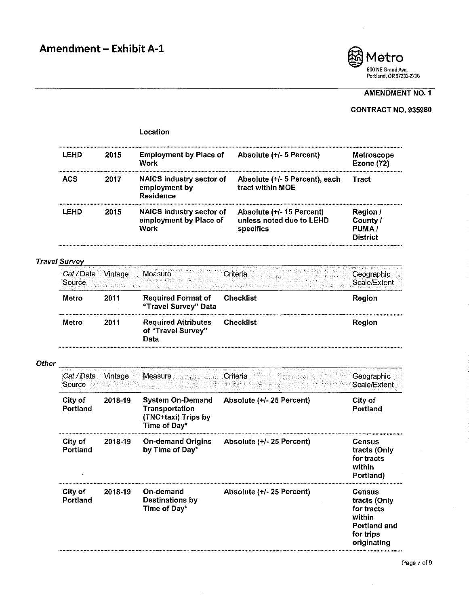

## AMENDMENT NO. 1

## CONTRACT NO. 935980

|              |                      |         | Location                                                                         |                                                                   |                                                                                                          |
|--------------|----------------------|---------|----------------------------------------------------------------------------------|-------------------------------------------------------------------|----------------------------------------------------------------------------------------------------------|
|              | <b>LEHD</b>          | 2015    | <b>Employment by Place of</b><br>Work                                            | Absolute (+/- 5 Percent)                                          | Metroscope<br><b>Ezone (72)</b>                                                                          |
|              | <b>ACS</b>           | 2017    | <b>NAICS industry sector of</b><br>employment by<br><b>Residence</b>             | Absolute (+/- 5 Percent), each<br>tract within MOE                | Tract                                                                                                    |
|              | LEHD                 | 2015    | <b>NAICS industry sector of</b><br>employment by Place of<br>Work                | Absolute (+/-15 Percent)<br>unless noted due to LEHD<br>specifics | <b>Region</b> /<br>County /<br>PUMA/<br>District                                                         |
|              | <b>Travel Survey</b> |         |                                                                                  |                                                                   |                                                                                                          |
|              | Cat / Data<br>Source | Vintage | Measure                                                                          | Criteria                                                          | Geographic<br>Scale/Extent                                                                               |
|              | Metro                | 2011    | <b>Required Format of</b><br>"Travel Survey" Data                                | <b>Checklist</b>                                                  | Region                                                                                                   |
|              | Metro                | 2011    | <b>Required Attributes</b><br>of "Travel Survey"<br>Data                         | <b>Checklist</b>                                                  | Region                                                                                                   |
| <b>Other</b> |                      |         |                                                                                  |                                                                   |                                                                                                          |
|              | Cat/Data<br>Source   | Vintage | Measure                                                                          | Criteria                                                          | Geographic<br>Scale/Extent                                                                               |
|              | City of<br>Portland  | 2018-19 | <b>System On-Demand</b><br>Transportation<br>(TNC+taxi) Trips by<br>Time of Day* | Absolute (+/- 25 Percent)                                         | City of<br>Portland                                                                                      |
|              | City of<br>Portland  | 2018-19 | <b>On-demand Origins</b><br>by Time of Day*                                      | Absolute (+/- 25 Percent)                                         | Census<br>tracts (Only<br>for tracts<br>within<br>Portland)                                              |
|              | City of<br>Portland  | 2018-19 | On-demand<br><b>Destinations by</b><br>Time of Day*                              | Absolute (+/- 25 Percent)                                         | <b>Census</b><br>tracts (Only<br>for tracts<br>within<br><b>Portland and</b><br>for trips<br>originating |

 $\bar{\gamma}$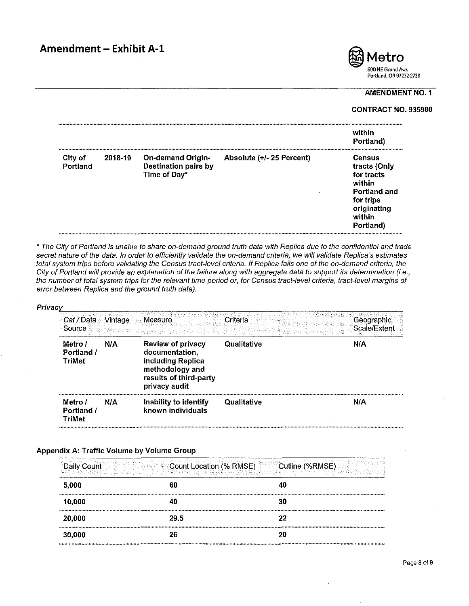

#### CONTRACT NO. 935980

|                     |         |                                                                         |                           | within<br>Portland)                                                                                               |
|---------------------|---------|-------------------------------------------------------------------------|---------------------------|-------------------------------------------------------------------------------------------------------------------|
| City of<br>Portland | 2018-19 | <b>On-demand Origin-</b><br><b>Destination pairs by</b><br>Time of Day* | Absolute (+/- 25 Percent) | Census<br>tracts (Only<br>for tracts<br>within<br>Portland and<br>for trips<br>originating<br>within<br>Portland) |

• The City of Portland is unable to share on-demand ground truth data with Replica due to the confidential and trade secret nature of the data. In order to efficiently validate the on-demand criteria, we will validate Replica's estimates total system trips before validating the Census tract-level criteria. If Replica fails one of the on-demand criteria, the City of Portland will provide an explanation of the failure along with aggregate data to support its determination (i.e., the number of total system trips for the relevant time period or, for Census tract-level criteria, tract-level margins of error between Replica and the ground truth data).

#### Privacv

| Cat / Data<br>Source                   | Nintage⊹ | Measure                                                                                                                       | Criteria    | Geographic<br>Scale/Extent |
|----------------------------------------|----------|-------------------------------------------------------------------------------------------------------------------------------|-------------|----------------------------|
| Metro /<br>Portland /<br><b>TriMet</b> | N/A      | <b>Review of privacy</b><br>documentation,<br>including Replica<br>methodology and<br>results of third-party<br>privacy audit | Qualitative | N/A                        |
| Metro /<br>Portland /<br><b>TriMet</b> | N/A      | Inability to identify<br>known individuals                                                                                    | Qualitative | N/A                        |

#### Appendix A: Traffic Volume by Volume Group

| Count  | <b>Count Location (% RMSE)</b> | Cutline (%RMSE) |
|--------|--------------------------------|-----------------|
| 5,000  | 60                             | 40              |
| 10,000 |                                | 30              |
| 20,000 | 29.5                           | 22              |
| 30,000 | 26                             | 20              |